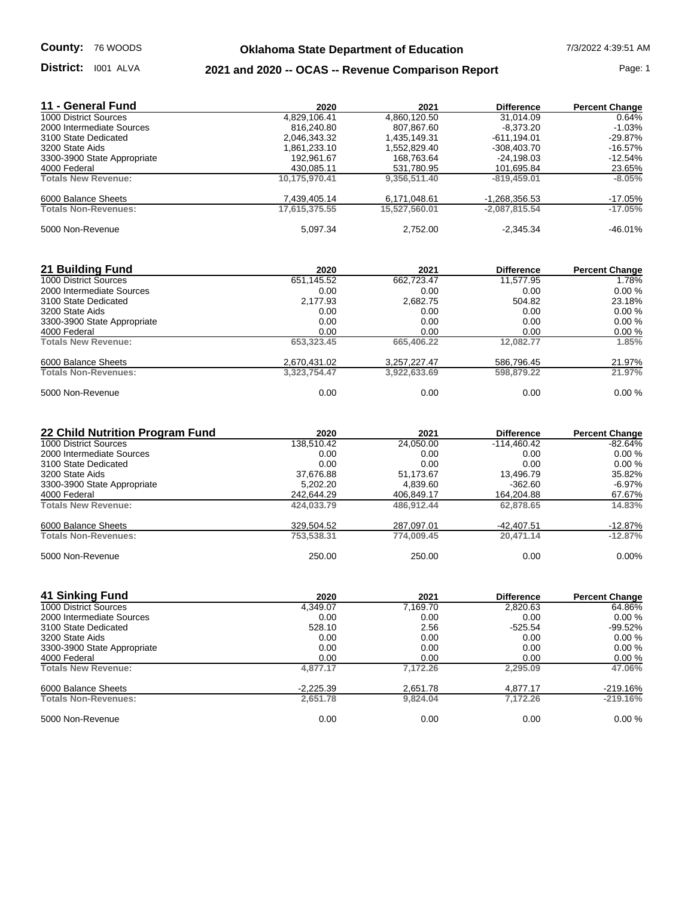#### District: 1001 ALVA

# **Oklahoma State Department of Education** 7/3/2022 4:39:51 AM

### **District:** 1001 ALVA **2021 and 2020 -- OCAS -- Revenue Comparison Report Page: 1**

| 11 - General Fund           | 2020          | 2021          | <b>Difference</b> | <b>Percent Change</b> |
|-----------------------------|---------------|---------------|-------------------|-----------------------|
| 1000 District Sources       | 4,829,106.41  | 4,860,120.50  | 31.014.09         | 0.64%                 |
| 2000 Intermediate Sources   | 816.240.80    | 807.867.60    | $-8.373.20$       | $-1.03%$              |
| 3100 State Dedicated        | 2,046,343.32  | 1.435.149.31  | -611.194.01       | $-29.87%$             |
| 3200 State Aids             | 1,861,233.10  | 1,552,829.40  | $-308.403.70$     | $-16.57%$             |
| 3300-3900 State Appropriate | 192,961.67    | 168,763.64    | -24,198.03        | $-12.54%$             |
| 4000 Federal                | 430.085.11    | 531,780.95    | 101,695.84        | 23.65%                |
| <b>Totals New Revenue:</b>  | 10,175,970.41 | 9,356,511.40  | $-819.459.01$     | $-8.05%$              |
| 6000 Balance Sheets         | 7.439.405.14  | 6.171.048.61  | $-1.268.356.53$   | $-17.05%$             |
| <b>Totals Non-Revenues:</b> | 17.615.375.55 | 15.527.560.01 | $-2.087.815.54$   | $-17.05%$             |
| 5000 Non-Revenue            | 5,097.34      | 2.752.00      | $-2.345.34$       | $-46.01%$             |

| 21 Building Fund            | 2020         | 2021         | <b>Difference</b> | <b>Percent Change</b> |
|-----------------------------|--------------|--------------|-------------------|-----------------------|
| 1000 District Sources       | 651,145.52   | 662,723.47   | 11.577.95         | 1.78%                 |
| 2000 Intermediate Sources   | 0.00         | 0.00         | 0.00              | $0.00 \%$             |
| 3100 State Dedicated        | 2,177.93     | 2.682.75     | 504.82            | 23.18%                |
| 3200 State Aids             | 0.00         | 0.00         | 0.00              | $0.00 \%$             |
| 3300-3900 State Appropriate | 0.00         | 0.00         | 0.00              | 0.00%                 |
| 4000 Federal                | 0.00         | 0.00         | 0.00              | 0.00%                 |
| <b>Totals New Revenue:</b>  | 653.323.45   | 665,406.22   | 12.082.77         | 1.85%                 |
| 6000 Balance Sheets         | 2,670,431.02 | 3,257,227.47 | 586,796.45        | 21.97%                |
| <b>Totals Non-Revenues:</b> | 3.323.754.47 | 3,922,633.69 | 598,879.22        | 21.97%                |
| 5000 Non-Revenue            | 0.00         | 0.00         | 0.00              | 0.00%                 |

| 22 Child Nutrition Program Fund | 2020       | 2021       | <b>Difference</b> | <b>Percent Change</b> |
|---------------------------------|------------|------------|-------------------|-----------------------|
| 1000 District Sources           | 138,510.42 | 24,050.00  | $-114.460.42$     | $-82.64%$             |
| 2000 Intermediate Sources       | 0.00       | 0.00       | 0.00              | 0.00%                 |
| 3100 State Dedicated            | 0.00       | 0.00       | 0.00              | $0.00 \%$             |
| 3200 State Aids                 | 37.676.88  | 51.173.67  | 13.496.79         | 35.82%                |
| 3300-3900 State Appropriate     | 5.202.20   | 4,839.60   | $-362.60$         | $-6.97%$              |
| 4000 Federal                    | 242,644.29 | 406,849.17 | 164,204.88        | 67.67%                |
| <b>Totals New Revenue:</b>      | 424.033.79 | 486.912.44 | 62,878,65         | 14.83%                |
| 6000 Balance Sheets             | 329,504.52 | 287,097.01 | -42,407.51        | -12.87%               |
| <b>Totals Non-Revenues:</b>     | 753,538.31 | 774.009.45 | 20.471.14         | $-12.87%$             |
| 5000 Non-Revenue                | 250.00     | 250.00     | 0.00              | $0.00\%$              |

| 41 Sinking Fund             | 2020        | 2021     | <b>Difference</b> | <b>Percent Change</b> |
|-----------------------------|-------------|----------|-------------------|-----------------------|
| 1000 District Sources       | 4.349.07    | 7.169.70 | 2.820.63          | 64.86%                |
| 2000 Intermediate Sources   | 0.00        | 0.00     | 0.00              | 0.00%                 |
| 3100 State Dedicated        | 528.10      | 2.56     | $-525.54$         | $-99.52%$             |
| 3200 State Aids             | 0.00        | 0.00     | 0.00              | 0.00%                 |
| 3300-3900 State Appropriate | 0.00        | 0.00     | 0.00              | 0.00%                 |
| 4000 Federal                | 0.00        | 0.00     | 0.00              | 0.00%                 |
| <b>Totals New Revenue:</b>  | 4.877.17    | 7.172.26 | 2.295.09          | 47.06%                |
| 6000 Balance Sheets         | $-2,225.39$ | 2,651.78 | 4.877.17          | $-219.16%$            |
| <b>Totals Non-Revenues:</b> | 2,651.78    | 9.824.04 | 7.172.26          | $-219.16%$            |
| 5000 Non-Revenue            | 0.00        | 0.00     | 0.00              | 0.00%                 |